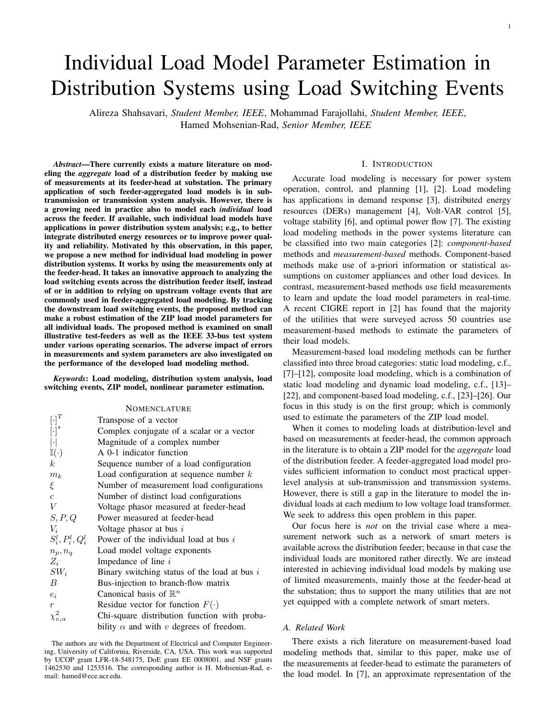# Individual Load Model Parameter Estimation in Distribution Systems using Load Switching Events

Alireza Shahsavari, *Student Member, IEEE*, Mohammad Farajollahi, *Student Member, IEEE*, Hamed Mohsenian-Rad, *Senior Member, IEEE*

*Abstract*—There currently exists a mature literature on modeling the *aggregate* load of a distribution feeder by making use of measurements at its feeder-head at substation. The primary application of such feeder-aggregated load models is in subtransmission or transmission system analysis. However, there is a growing need in practice also to model each *individual* load across the feeder. If available, such individual load models have applications in power distribution system analysis; e.g., to better integrate distributed energy resources or to improve power quality and reliability. Motivated by this observation, in this paper, we propose a new method for individual load modeling in power distribution systems. It works by using the measurements only at the feeder-head. It takes an innovative approach to analyzing the load switching events across the distribution feeder itself, instead of or in addition to relying on upstream voltage events that are commonly used in feeder-aggregated load modeling. By tracking the downstream load switching events, the proposed method can make a robust estimation of the ZIP load model parameters for all individual loads. The proposed method is examined on small illustrative test-feeders as well as the IEEE 33-bus test system under various operating scenarios. The adverse impact of errors in measurements and system parameters are also investigated on the performance of the developed load modeling method.

*Keywords*: Load modeling, distribution system analysis, load switching events, ZIP model, nonlinear parameter estimation.

|                              | <b>NOMENCLATURE</b>                            |
|------------------------------|------------------------------------------------|
| $\left[\cdot\right]^{T}_{*}$ | Transpose of a vector                          |
|                              | Complex conjugate of a scalar or a vector      |
| $\left  \cdot \right $       | Magnitude of a complex number                  |
| $\mathbb{I}(\cdot)$          | A 0-1 indicator function                       |
| k <sub>i</sub>               | Sequence number of a load configuration        |
| $m_k$                        | Load configuration at sequence number $k$      |
| ξ                            | Number of measurement load configurations      |
| $\overline{c}$               | Number of distinct load configurations         |
| $\bar{V}$                    | Voltage phasor measured at feeder-head         |
| S, P, Q                      | Power measured at feeder-head                  |
| $V_i$                        | Voltage phasor at bus $i$                      |
| $S_i^l, P_i^l, Q_i^l$        | Power of the individual load at bus $i$        |
| $n_p, n_q$                   | Load model voltage exponents                   |
| $Z_i$                        | Impedance of line $i$                          |
| $SW_i$                       | Binary switching status of the load at bus $i$ |
| B                            | Bus-injection to branch-flow matrix            |
| $e_i$                        | Canonical basis of $\mathbb{R}^n$              |
| $\boldsymbol{r}$             | Residue vector for function $F(\cdot)$         |
| $\chi^2_{v,\alpha}$          | Chi-square distribution function with proba-   |
|                              | bility $\alpha$ and with v degrees of freedom. |

The authors are with the Department of Electrical and Computer Engineering, University of California, Riverside, CA, USA. This work was supported by UCOP grant LFR-18-548175, DoE grant EE 0008001, and NSF grants 1462530 and 1253516. The corresponding author is H. Mohsenian-Rad, email: hamed@ece.ucr.edu.

# I. INTRODUCTION

Accurate load modeling is necessary for power system operation, control, and planning [1], [2]. Load modeling has applications in demand response [3], distributed energy resources (DERs) management [4], Volt-VAR control [5], voltage stability [6], and optimal power flow [7]. The existing load modeling methods in the power systems literature can be classified into two main categories [2]: *component-based* methods and *measurement-based* methods. Component-based methods make use of a-priori information or statistical assumptions on customer appliances and other load devices. In contrast, measurement-based methods use field measurements to learn and update the load model parameters in real-time. A recent CIGRE report in [2] has found that the majority of the utilities that were surveyed across 50 countries use measurement-based methods to estimate the parameters of their load models.

Measurement-based load modeling methods can be further classified into three broad categories: static load modeling, c.f., [7]–[12], composite load modeling, which is a combination of static load modeling and dynamic load modeling, c.f., [13]– [22], and component-based load modeling, c.f., [23]–[26]. Our focus in this study is on the first group; which is commonly used to estimate the parameters of the ZIP load model.

When it comes to modeling loads at distribution-level and based on measurements at feeder-head, the common approach in the literature is to obtain a ZIP model for the *aggregate* load of the distribution feeder. A feeder-aggregated load model provides sufficient information to conduct most practical upperlevel analysis at sub-transmission and transmission systems. However, there is still a gap in the literature to model the individual loads at each medium to low voltage load transformer. We seek to address this open problem in this paper.

Our focus here is *not* on the trivial case where a measurement network such as a network of smart meters is available across the distribution feeder; because in that case the individual loads are monitored rather directly. We are instead interested in achieving individual load models by making use of limited measurements, mainly those at the feeder-head at the substation; thus to support the many utilities that are not yet equipped with a complete network of smart meters.

## *A. Related Work*

There exists a rich literature on measurement-based load modeling methods that, similar to this paper, make use of the measurements at feeder-head to estimate the parameters of the load model. In [7], an approximate representation of the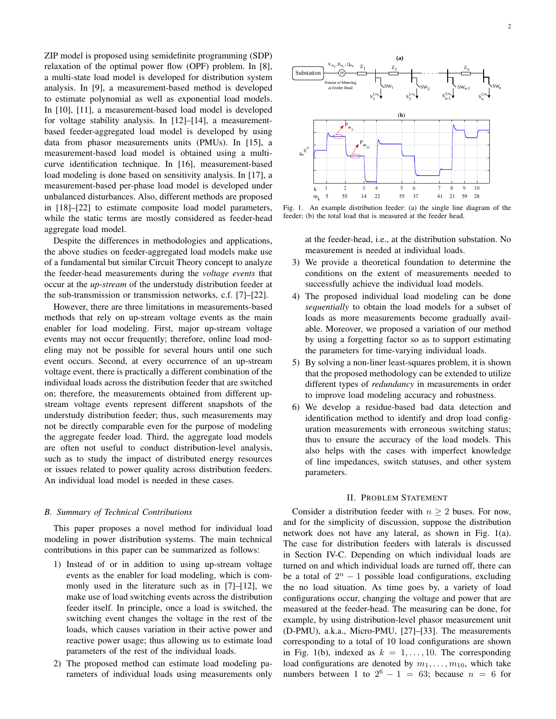ZIP model is proposed using semidefinite programming (SDP) relaxation of the optimal power flow (OPF) problem. In [8], a multi-state load model is developed for distribution system analysis. In [9], a measurement-based method is developed to estimate polynomial as well as exponential load models. In [10], [11], a measurement-based load model is developed for voltage stability analysis. In [12]–[14], a measurementbased feeder-aggregated load model is developed by using data from phasor measurements units (PMUs). In [15], a measurement-based load model is obtained using a multicurve identification technique. In [16], measurement-based load modeling is done based on sensitivity analysis. In [17], a measurement-based per-phase load model is developed under unbalanced disturbances. Also, different methods are proposed in [18]–[22] to estimate composite load model parameters, while the static terms are mostly considered as feeder-head aggregate load model.

Despite the differences in methodologies and applications, the above studies on feeder-aggregated load models make use of a fundamental but similar Circuit Theory concept to analyze the feeder-head measurements during the *voltage events* that occur at the *up-stream* of the understudy distribution feeder at the sub-transmission or transmission networks, c.f. [7]–[22].

However, there are three limitations in measurements-based methods that rely on up-stream voltage events as the main enabler for load modeling. First, major up-stream voltage events may not occur frequently; therefore, online load modeling may not be possible for several hours until one such event occurs. Second, at every occurrence of an up-stream voltage event, there is practically a different combination of the individual loads across the distribution feeder that are switched on; therefore, the measurements obtained from different upstream voltage events represent different snapshots of the understudy distribution feeder; thus, such measurements may not be directly comparable even for the purpose of modeling the aggregate feeder load. Third, the aggregate load models are often not useful to conduct distribution-level analysis, such as to study the impact of distributed energy resources or issues related to power quality across distribution feeders. An individual load model is needed in these cases.

## *B. Summary of Technical Contributions*

This paper proposes a novel method for individual load modeling in power distribution systems. The main technical contributions in this paper can be summarized as follows:

- 1) Instead of or in addition to using up-stream voltage events as the enabler for load modeling, which is commonly used in the literature such as in [7]–[12], we make use of load switching events across the distribution feeder itself. In principle, once a load is switched, the switching event changes the voltage in the rest of the loads, which causes variation in their active power and reactive power usage; thus allowing us to estimate load parameters of the rest of the individual loads.
- 2) The proposed method can estimate load modeling parameters of individual loads using measurements only



Fig. 1. An example distribution feeder: (a) the single line diagram of the feeder; (b) the total load that is measured at the feeder head.

at the feeder-head, i.e., at the distribution substation. No measurement is needed at individual loads.

- 3) We provide a theoretical foundation to determine the conditions on the extent of measurements needed to successfully achieve the individual load models.
- 4) The proposed individual load modeling can be done *sequentially* to obtain the load models for a subset of loads as more measurements become gradually available. Moreover, we proposed a variation of our method by using a forgetting factor so as to support estimating the parameters for time-varying individual loads.
- 5) By solving a non-liner least-squares problem, it is shown that the proposed methodology can be extended to utilize different types of *redundancy* in measurements in order to improve load modeling accuracy and robustness.
- 6) We develop a residue-based bad data detection and identification method to identify and drop load configuration measurements with erroneous switching status; thus to ensure the accuracy of the load models. This also helps with the cases with imperfect knowledge of line impedances, switch statuses, and other system parameters.

#### II. PROBLEM STATEMENT

Consider a distribution feeder with  $n \geq 2$  buses. For now, and for the simplicity of discussion, suppose the distribution network does not have any lateral, as shown in Fig. 1(a). The case for distribution feeders with laterals is discussed in Section IV-C. Depending on which individual loads are turned on and which individual loads are turned off, there can be a total of  $2^n - 1$  possible load configurations, excluding the no load situation. As time goes by, a variety of load configurations occur, changing the voltage and power that are measured at the feeder-head. The measuring can be done, for example, by using distribution-level phasor measurement unit (D-PMU), a.k.a., Micro-PMU, [27]–[33]. The measurements corresponding to a total of 10 load configurations are shown in Fig. 1(b), indexed as  $k = 1, \ldots, 10$ . The corresponding load configurations are denoted by  $m_1, \ldots, m_{10}$ , which take numbers between 1 to  $2^6 - 1 = 63$ ; because  $n = 6$  for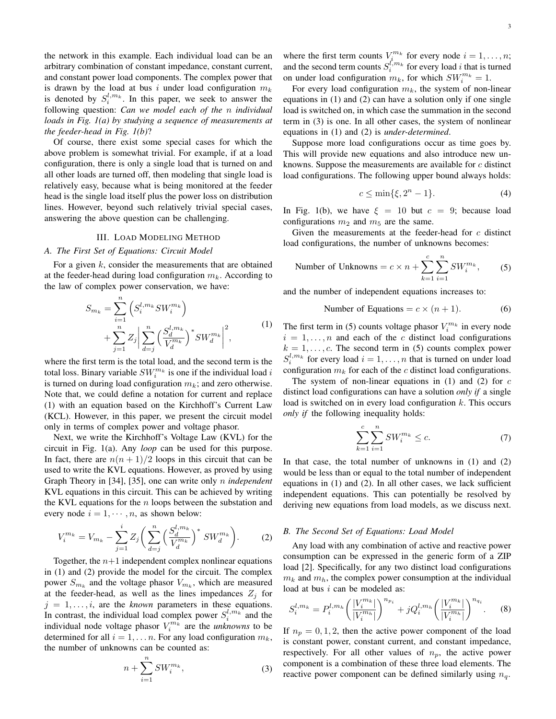the network in this example. Each individual load can be an arbitrary combination of constant impedance, constant current, and constant power load components. The complex power that is drawn by the load at bus i under load configuration  $m_k$ is denoted by  $S_i^{l,m_k}$ . In this paper, we seek to answer the following question: *Can we model each of the* n *individual loads in Fig. 1(a) by studying a sequence of measurements at the feeder-head in Fig. 1(b)*?

Of course, there exist some special cases for which the above problem is somewhat trivial. For example, if at a load configuration, there is only a single load that is turned on and all other loads are turned off, then modeling that single load is relatively easy, because what is being monitored at the feeder head is the single load itself plus the power loss on distribution lines. However, beyond such relatively trivial special cases, answering the above question can be challenging.

## III. LOAD MODELING METHOD

#### *A. The First Set of Equations: Circuit Model*

For a given  $k$ , consider the measurements that are obtained at the feeder-head during load configuration  $m_k$ . According to the law of complex power conservation, we have:

$$
S_{m_k} = \sum_{i=1}^{n} \left( S_i^{l,m_k} S W_i^{m_k} \right) + \sum_{j=1}^{n} Z_j \left| \sum_{d=j}^{n} \left( \frac{S_d^{l,m_k}}{V_d^{m_k}} \right)^* S W_d^{m_k} \right|^2, \tag{1}
$$

where the first term is the total load, and the second term is the total loss. Binary variable  $SW_i^{m_k}$  is one if the individual load i is turned on during load configuration  $m_k$ ; and zero otherwise. Note that, we could define a notation for current and replace (1) with an equation based on the Kirchhoff's Current Law (KCL). However, in this paper, we present the circuit model only in terms of complex power and voltage phasor.

Next, we write the Kirchhoff's Voltage Law (KVL) for the circuit in Fig. 1(a). Any *loop* can be used for this purpose. In fact, there are  $n(n+1)/2$  loops in this circuit that can be used to write the KVL equations. However, as proved by using Graph Theory in [34], [35], one can write only n *independent* KVL equations in this circuit. This can be achieved by writing the KVL equations for the  $n$  loops between the substation and every node  $i = 1, \dots, n$ , as shown below:

$$
V_i^{m_k} = V_{m_k} - \sum_{j=1}^i Z_j \left( \sum_{d=j}^n \left( \frac{S_d^{l, m_k}}{V_d^{m_k}} \right)^* SW_d^{m_k} \right). \tag{2}
$$

Together, the  $n+1$  independent complex nonlinear equations in (1) and (2) provide the model for the circuit. The complex power  $S_{m_k}$  and the voltage phasor  $V_{m_k}$ , which are measured at the feeder-head, as well as the lines impedances  $Z_j$  for  $j = 1, \ldots, i$ , are the *known* parameters in these equations. In contrast, the individual load complex power  $S_i^{l,m_k}$  and the individual node voltage phasor  $V_i^{m_k}$  are the *unknowns* to be determined for all  $i = 1, \ldots n$ . For any load configuration  $m_k$ , the number of unknowns can be counted as:

$$
n + \sum_{i=1}^{n} SW_i^{m_k},\tag{3}
$$

where the first term counts  $V_j^{m_k}$  for every node  $i = 1, \ldots, n;$ and the second term counts  $S_i^{l,m_k}$  for every load i that is turned on under load configuration  $m_k$ , for which  $SW_i^{m_k} = 1$ .

For every load configuration  $m_k$ , the system of non-linear equations in (1) and (2) can have a solution only if one single load is switched on, in which case the summation in the second term in (3) is one. In all other cases, the system of nonlinear equations in (1) and (2) is *under-determined*.

Suppose more load configurations occur as time goes by. This will provide new equations and also introduce new unknowns. Suppose the measurements are available for c distinct load configurations. The following upper bound always holds:

$$
c \le \min\{\xi, 2^n - 1\}.\tag{4}
$$

In Fig. 1(b), we have  $\xi = 10$  but  $c = 9$ ; because load configurations  $m_2$  and  $m_5$  are the same.

Given the measurements at the feeder-head for c distinct load configurations, the number of unknowns becomes:

Number of Unknowns = 
$$
c \times n + \sum_{k=1}^{c} \sum_{i=1}^{n} SW_i^{m_k}
$$
, (5)

and the number of independent equations increases to:

Number of Equations = 
$$
c \times (n+1)
$$
. (6)

The first term in (5) counts voltage phasor  $V_i^{m_k}$  in every node  $i = 1, \ldots, n$  and each of the c distinct load configurations  $k = 1, \ldots, c$ . The second term in (5) counts complex power  $S_i^{l,m_k}$  for every load  $i = 1, \ldots, n$  that is turned on under load configuration  $m_k$  for each of the c distinct load configurations.

The system of non-linear equations in  $(1)$  and  $(2)$  for c distinct load configurations can have a solution *only if* a single load is switched on in every load configuration  $k$ . This occurs *only if* the following inequality holds:

$$
\sum_{k=1}^{c} \sum_{i=1}^{n} SW_i^{m_k} \le c.
$$
 (7)

In that case, the total number of unknowns in (1) and (2) would be less than or equal to the total number of independent equations in (1) and (2). In all other cases, we lack sufficient independent equations. This can potentially be resolved by deriving new equations from load models, as we discuss next.

#### *B. The Second Set of Equations: Load Model*

Any load with any combination of active and reactive power consumption can be expressed in the generic form of a ZIP load [2]. Specifically, for any two distinct load configurations  $m_k$  and  $m_h$ , the complex power consumption at the individual load at bus  $i$  can be modeled as:

$$
S_i^{l,m_k} = P_i^{l,m_k} \left( \frac{|V_i^{m_k}|}{|V_i^{m_k}|} \right)^{n_{p_i}} + j Q_i^{l,m_k} \left( \frac{|V_i^{m_k}|}{|V_i^{m_k}|} \right)^{n_{q_i}}.
$$
 (8)

If  $n_p = 0, 1, 2$ , then the active power component of the load is constant power, constant current, and constant impedance, respectively. For all other values of  $n_p$ , the active power component is a combination of these three load elements. The reactive power component can be defined similarly using  $n_q$ .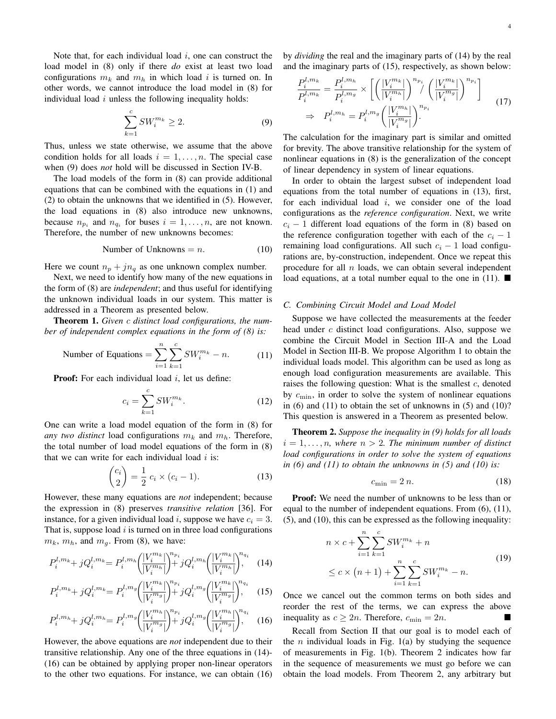Note that, for each individual load  $i$ , one can construct the load model in (8) only if there *do* exist at least two load configurations  $m_k$  and  $m_h$  in which load i is turned on. In other words, we cannot introduce the load model in (8) for individual load  $i$  unless the following inequality holds:

$$
\sum_{k=1}^{c} SW_i^{m_k} \ge 2. \tag{9}
$$

Thus, unless we state otherwise, we assume that the above condition holds for all loads  $i = 1, \ldots, n$ . The special case when (9) does *not* hold will be discussed in Section IV-B.

The load models of the form in (8) can provide additional equations that can be combined with the equations in (1) and (2) to obtain the unknowns that we identified in (5). However, the load equations in (8) also introduce new unknowns, because  $n_{p_i}$  and  $n_{q_i}$  for buses  $i = 1, \ldots, n$ , are not known. Therefore, the number of new unknowns becomes:

Number of Unknowns = 
$$
n
$$
. (10)

Here we count  $n_p + j n_q$  as one unknown complex number.

Next, we need to identify how many of the new equations in the form of (8) are *independent*; and thus useful for identifying the unknown individual loads in our system. This matter is addressed in a Theorem as presented below.

Theorem 1. *Given* c *distinct load configurations, the number of independent complex equations in the form of (8) is:*

Number of Equations 
$$
= \sum_{i=1}^{n} \sum_{k=1}^{c} SW_i^{m_k} - n.
$$
 (11)

**Proof:** For each individual load  $i$ , let us define:

$$
c_i = \sum_{k=1}^{c} SW_i^{m_k}.
$$
 (12)

One can write a load model equation of the form in (8) for *any two distinct* load configurations  $m_k$  and  $m_h$ . Therefore, the total number of load model equations of the form in (8) that we can write for each individual load  $i$  is:

$$
\begin{pmatrix} c_i \\ 2 \end{pmatrix} = \frac{1}{2} c_i \times (c_i - 1). \tag{13}
$$

However, these many equations are *not* independent; because the expression in (8) preserves *transitive relation* [36]. For instance, for a given individual load i, suppose we have  $c_i = 3$ . That is, suppose load  $i$  is turned on in three load configurations  $m_k$ ,  $m_h$ , and  $m_g$ . From (8), we have:

$$
P_i^{l,m_k} + jQ_i^{l,m_k} = P_i^{l,m_h} \left( \frac{|V_i^{m_k}|}{|V_i^{m_h}|} \right)^{n_{p_i}} jQ_i^{l,m_h} \left( \frac{|V_i^{m_k}|}{|V_i^{m_h}|} \right)^{n_{q_i}} \quad (14)
$$

$$
P_i^{l,m_k} + jQ_i^{l,m_k} = P_i^{l,m_g} \left( \frac{|V_i^{m_k}|}{|V_i^{m_g}|} \right)^{n_{p_i}} jQ_i^{l,m_g} \left( \frac{|V_i^{m_k}|}{|V_i^{m_g}|} \right)^{n_{q_i}} \quad (15)
$$

$$
P_i^{l,m_h} + jQ_i^{l,m_h} = P_i^{l,m_g} \left( \frac{|V_i^{m_h}|}{|V_i^{m_g}|} \right)^{n_p} + jQ_i^{l,m_g} \left( \frac{|V_i^{m_h}|}{|V_i^{m_g}|} \right)^{n_q} \tag{16}
$$

However, the above equations are *not* independent due to their transitive relationship. Any one of the three equations in (14)- (16) can be obtained by applying proper non-linear operators to the other two equations. For instance, we can obtain (16)

by *dividing* the real and the imaginary parts of (14) by the real and the imaginary parts of (15), respectively, as shown below:

$$
\frac{P_i^{l,m_k}}{P_i^{l,m_k}} = \frac{P_i^{l,m_h}}{P_i^{l,m_g}} \times \left[ \left( \frac{|V_i^{m_k}|}{|V_i^{m_h}|} \right)^{n_{p_i}} / \left( \frac{|V_i^{m_k}|}{|V_i^{m_g}|} \right)^{n_{p_i}} \right]
$$
\n
$$
\Rightarrow P_i^{l,m_h} = P_i^{l,m_g} \left( \frac{|V_i^{m_h}|}{|V_i^{m_g}|} \right)^{n_{p_i}} \tag{17}
$$

The calculation for the imaginary part is similar and omitted for brevity. The above transitive relationship for the system of nonlinear equations in (8) is the generalization of the concept of linear dependency in system of linear equations.

In order to obtain the largest subset of independent load equations from the total number of equations in (13), first, for each individual load  $i$ , we consider one of the load configurations as the *reference configuration*. Next, we write  $c_i - 1$  different load equations of the form in (8) based on the reference configuration together with each of the  $c_i - 1$ remaining load configurations. All such  $c_i - 1$  load configurations are, by-construction, independent. Once we repeat this procedure for all  $n$  loads, we can obtain several independent load equations, at a total number equal to the one in (11).  $\blacksquare$ 

## *C. Combining Circuit Model and Load Model*

Suppose we have collected the measurements at the feeder head under c distinct load configurations. Also, suppose we combine the Circuit Model in Section III-A and the Load Model in Section III-B. We propose Algorithm 1 to obtain the individual loads model. This algorithm can be used as long as enough load configuration measurements are available. This raises the following question: What is the smallest  $c$ , denoted by  $c_{\text{min}}$ , in order to solve the system of nonlinear equations in (6) and (11) to obtain the set of unknowns in (5) and (10)? This question is answered in a Theorem as presented below.

Theorem 2. *Suppose the inequality in (9) holds for all loads*  $i = 1, \ldots, n$ , where  $n > 2$ . The minimum number of distinct *load configurations in order to solve the system of equations in (6) and (11) to obtain the unknowns in (5) and (10) is:*

$$
c_{\min} = 2 n. \tag{18}
$$

Proof: We need the number of unknowns to be less than or equal to the number of independent equations. From (6), (11), (5), and (10), this can be expressed as the following inequality:

$$
n \times c + \sum_{i=1}^{n} \sum_{k=1}^{c} SW_i^{m_k} + n
$$
  
\n
$$
\leq c \times (n+1) + \sum_{i=1}^{n} \sum_{k=1}^{c} SW_i^{m_k} - n.
$$
\n(19)

Once we cancel out the common terms on both sides and reorder the rest of the terms, we can express the above inequality as  $c \geq 2n$ . Therefore,  $c_{\min} = 2n$ .

Recall from Section II that our goal is to model each of the *n* individual loads in Fig. 1(a) by studying the sequence of measurements in Fig. 1(b). Theorem 2 indicates how far in the sequence of measurements we must go before we can obtain the load models. From Theorem 2, any arbitrary but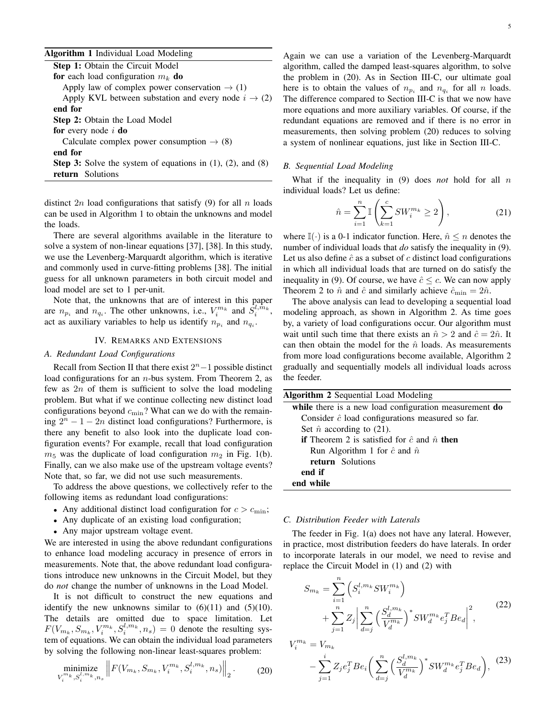| Algorithm 1 Individual Load Modeling |  |  |  |  |  |
|--------------------------------------|--|--|--|--|--|
|--------------------------------------|--|--|--|--|--|

| <b>Step 1:</b> Obtain the Circuit Model                                   |
|---------------------------------------------------------------------------|
| for each load configuration $m_k$ do                                      |
| Apply law of complex power conservation $\rightarrow$ (1)                 |
| Apply KVL between substation and every node $i \rightarrow (2)$           |
| end for                                                                   |
| <b>Step 2:</b> Obtain the Load Model                                      |
| for every node $i$ do                                                     |
| Calculate complex power consumption $\rightarrow$ (8)                     |
| end for                                                                   |
| <b>Step 3:</b> Solve the system of equations in $(1)$ , $(2)$ , and $(8)$ |
| return Solutions                                                          |

distinct  $2n$  load configurations that satisfy (9) for all n loads can be used in Algorithm 1 to obtain the unknowns and model the loads.

There are several algorithms available in the literature to solve a system of non-linear equations [37], [38]. In this study, we use the Levenberg-Marquardt algorithm, which is iterative and commonly used in curve-fitting problems [38]. The initial guess for all unknown parameters in both circuit model and load model are set to 1 per-unit.

Note that, the unknowns that are of interest in this paper are  $n_{p_i}$  and  $n_{q_i}$ . The other unknowns, i.e.,  $V_i^{m_k}$  and  $\hat{S}_i^{l, \hat{m}_k}$ , act as auxiliary variables to help us identify  $n_{p_i}$  and  $n_{q_i}$ .

# IV. REMARKS AND EXTENSIONS

#### *A. Redundant Load Configurations*

Recall from Section II that there exist  $2<sup>n</sup> - 1$  possible distinct load configurations for an  $n$ -bus system. From Theorem 2, as few as  $2n$  of them is sufficient to solve the load modeling problem. But what if we continue collecting new distinct load configurations beyond  $c_{\min}$ ? What can we do with the remaining  $2^n - 1 - 2n$  distinct load configurations? Furthermore, is there any benefit to also look into the duplicate load configuration events? For example, recall that load configuration  $m_5$  was the duplicate of load configuration  $m_2$  in Fig. 1(b). Finally, can we also make use of the upstream voltage events? Note that, so far, we did not use such measurements.

To address the above questions, we collectively refer to the following items as redundant load configurations:

- Any additional distinct load configuration for  $c > c_{\text{min}}$ ;
- Any duplicate of an existing load configuration;
- Any major upstream voltage event.

We are interested in using the above redundant configurations to enhance load modeling accuracy in presence of errors in measurements. Note that, the above redundant load configurations introduce new unknowns in the Circuit Model, but they do *not* change the number of unknowns in the Load Model.

It is not difficult to construct the new equations and identify the new unknowns similar to  $(6)(11)$  and  $(5)(10)$ . The details are omitted due to space limitation. Let  $F(V_{m_k}, S_{m_k}, V_i^{m_k}, S_i^{l,m_k}, n_s) = 0$  denote the resulting system of equations. We can obtain the individual load parameters by solving the following non-linear least-squares problem:

$$
\min_{V_i^{m_k}, S_i^{l, m_k}, n_s} \left\| F(V_{m_k}, S_{m_k}, V_i^{m_k}, S_i^{l, m_k}, n_s) \right\|_2.
$$
 (20)

Again we can use a variation of the Levenberg-Marquardt algorithm, called the damped least-squares algorithm, to solve the problem in (20). As in Section III-C, our ultimate goal here is to obtain the values of  $n_{p_i}$  and  $n_{q_i}$  for all n loads. The difference compared to Section III-C is that we now have more equations and more auxiliary variables. Of course, if the redundant equations are removed and if there is no error in measurements, then solving problem (20) reduces to solving a system of nonlinear equations, just like in Section III-C.

## *B. Sequential Load Modeling*

What if the inequality in (9) does *not* hold for all n individual loads? Let us define:

$$
\hat{n} = \sum_{i=1}^{n} \mathbb{I}\left(\sum_{k=1}^{c} SW_i^{m_k} \ge 2\right),\tag{21}
$$

where  $\mathbb{I}(\cdot)$  is a 0-1 indicator function. Here,  $\hat{n} \leq n$  denotes the number of individual loads that *do* satisfy the inequality in (9). Let us also define  $\hat{c}$  as a subset of c distinct load configurations in which all individual loads that are turned on do satisfy the inequality in (9). Of course, we have  $\hat{c} \leq c$ . We can now apply Theorem 2 to  $\hat{n}$  and  $\hat{c}$  and similarly achieve  $\hat{c}_{\min} = 2\hat{n}$ .

The above analysis can lead to developing a sequential load modeling approach, as shown in Algorithm 2. As time goes by, a variety of load configurations occur. Our algorithm must wait until such time that there exists an  $\hat{n} > 2$  and  $\hat{c} = 2\hat{n}$ . It can then obtain the model for the  $\hat{n}$  loads. As measurements from more load configurations become available, Algorithm 2 gradually and sequentially models all individual loads across the feeder.

| Algorithm 2 Sequential Load Modeling                              |  |
|-------------------------------------------------------------------|--|
| while there is a new load configuration measurement do            |  |
| Consider $\hat{c}$ load configurations measured so far.           |  |
| Set $\hat{n}$ according to (21).                                  |  |
| <b>if</b> Theorem 2 is satisfied for $\hat{c}$ and $\hat{n}$ then |  |
| Run Algorithm 1 for $\hat{c}$ and $\hat{n}$                       |  |
| return Solutions                                                  |  |
| end if                                                            |  |
| end while                                                         |  |
|                                                                   |  |

## *C. Distribution Feeder with Laterals*

The feeder in Fig. 1(a) does not have any lateral. However, in practice, most distribution feeders do have laterals. In order to incorporate laterals in our model, we need to revise and replace the Circuit Model in (1) and (2) with

$$
S_{m_k} = \sum_{i=1}^{n} \left( S_i^{l, m_k} S W_i^{m_k} \right) + \sum_{j=1}^{n} Z_j \left| \sum_{d=j}^{n} \left( \frac{S_d^{l, m_k}}{V_d^{m_k}} \right)^* S W_d^{m_k} e_j^T B e_d \right|^2, \qquad (22)
$$

 $V_i^{m_k} = V_{m_k}$  $-\sum_{i=1}^{i}$  $j=1$  $Z_j e_j^T B e_i \Big( \sum^n$  $d = j$  $\int_{d}^{l,m_k}$  $\overline{V_d^{m_k}}$  $\Big)^*SW^{m_k}_d e_j^T Be_d\Big),$ (23)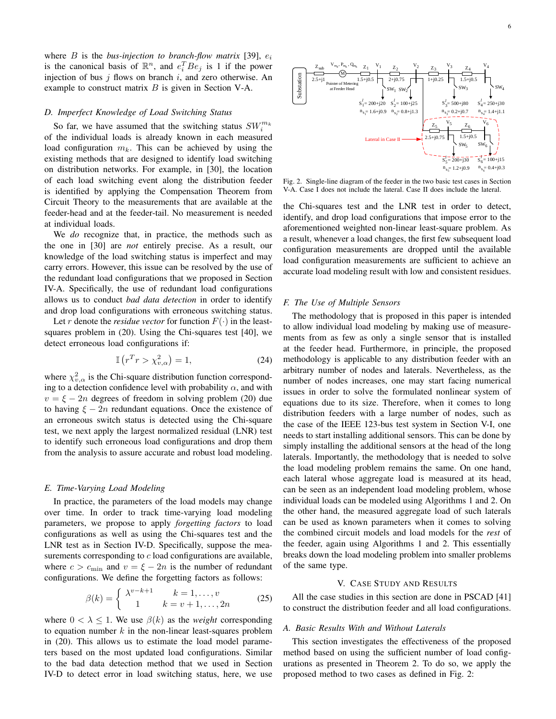where  $B$  is the *bus-injection to branch-flow matrix* [39],  $e_i$ is the canonical basis of  $\mathbb{R}^n$ , and  $e_i^T B e_j$  is 1 if the power injection of bus  $j$  flows on branch  $i$ , and zero otherwise. An example to construct matrix  $B$  is given in Section V-A.

#### *D. Imperfect Knowledge of Load Switching Status*

So far, we have assumed that the switching status  $SW_i^{m_k}$ of the individual loads is already known in each measured load configuration  $m_k$ . This can be achieved by using the existing methods that are designed to identify load switching on distribution networks. For example, in [30], the location of each load switching event along the distribution feeder is identified by applying the Compensation Theorem from Circuit Theory to the measurements that are available at the feeder-head and at the feeder-tail. No measurement is needed at individual loads.

We *do* recognize that, in practice, the methods such as the one in [30] are *not* entirely precise. As a result, our knowledge of the load switching status is imperfect and may carry errors. However, this issue can be resolved by the use of the redundant load configurations that we proposed in Section IV-A. Specifically, the use of redundant load configurations allows us to conduct *bad data detection* in order to identify and drop load configurations with erroneous switching status.

Let r denote the *residue vector* for function  $F(\cdot)$  in the leastsquares problem in (20). Using the Chi-squares test [40], we detect erroneous load configurations if:

$$
\mathbb{I}\left(r^T r > \chi^2_{v,\alpha}\right) = 1,\tag{24}
$$

where  $\chi^2_{v,\alpha}$  is the Chi-square distribution function corresponding to a detection confidence level with probability  $\alpha$ , and with  $v = \xi - 2n$  degrees of freedom in solving problem (20) due to having  $\xi - 2n$  redundant equations. Once the existence of an erroneous switch status is detected using the Chi-square test, we next apply the largest normalized residual (LNR) test to identify such erroneous load configurations and drop them from the analysis to assure accurate and robust load modeling.

## *E. Time-Varying Load Modeling*

In practice, the parameters of the load models may change over time. In order to track time-varying load modeling parameters, we propose to apply *forgetting factors* to load configurations as well as using the Chi-squares test and the LNR test as in Section IV-D. Specifically, suppose the measurements corresponding to  $c$  load configurations are available, where  $c > c_{\text{min}}$  and  $v = \xi - 2n$  is the number of redundant configurations. We define the forgetting factors as follows:

$$
\beta(k) = \begin{cases} \lambda^{v-k+1} & k = 1, \dots, v \\ 1 & k = v+1, \dots, 2n \end{cases}
$$
 (25)

where  $0 < \lambda < 1$ . We use  $\beta(k)$  as the *weight* corresponding to equation number  $k$  in the non-linear least-squares problem in (20). This allows us to estimate the load model parameters based on the most updated load configurations. Similar to the bad data detection method that we used in Section IV-D to detect error in load switching status, here, we use



Fig. 2. Single-line diagram of the feeder in the two basic test cases in Section V-A. Case I does not include the lateral. Case II does include the lateral.

the Chi-squares test and the LNR test in order to detect, identify, and drop load configurations that impose error to the aforementioned weighted non-linear least-square problem. As a result, whenever a load changes, the first few subsequent load configuration measurements are dropped until the available load configuration measurements are sufficient to achieve an accurate load modeling result with low and consistent residues.

## *F. The Use of Multiple Sensors*

The methodology that is proposed in this paper is intended to allow individual load modeling by making use of measurements from as few as only a single sensor that is installed at the feeder head. Furthermore, in principle, the proposed methodology is applicable to any distribution feeder with an arbitrary number of nodes and laterals. Nevertheless, as the number of nodes increases, one may start facing numerical issues in order to solve the formulated nonlinear system of equations due to its size. Therefore, when it comes to long distribution feeders with a large number of nodes, such as the case of the IEEE 123-bus test system in Section V-I, one needs to start installing additional sensors. This can be done by simply installing the additional sensors at the head of the long laterals. Importantly, the methodology that is needed to solve the load modeling problem remains the same. On one hand, each lateral whose aggregate load is measured at its head, can be seen as an independent load modeling problem, whose individual loads can be modeled using Algorithms 1 and 2. On the other hand, the measured aggregate load of such laterals can be used as known parameters when it comes to solving the combined circuit models and load models for the *rest* of the feeder, again using Algorithms 1 and 2. This essentially breaks down the load modeling problem into smaller problems of the same type.

# V. CASE STUDY AND RESULTS

All the case studies in this section are done in PSCAD [41] to construct the distribution feeder and all load configurations.

## *A. Basic Results With and Without Laterals*

This section investigates the effectiveness of the proposed method based on using the sufficient number of load configurations as presented in Theorem 2. To do so, we apply the proposed method to two cases as defined in Fig. 2: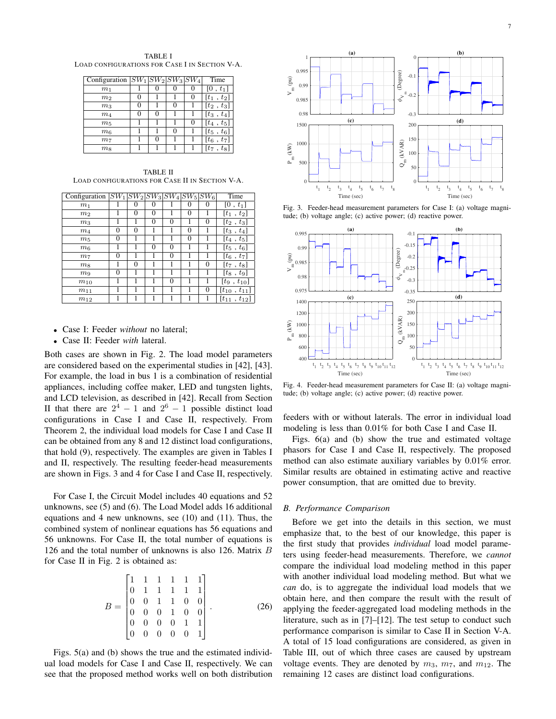TABLE I LOAD CONFIGURATIONS FOR CASE I IN SECTION V-A.

| Configuration $ SW_1 SW_2 SW_3 SW_4$ |   |   | Time         |
|--------------------------------------|---|---|--------------|
| m <sub>1</sub>                       |   |   | $[0, t_1]$   |
| m <sub>2</sub>                       |   |   | $[t_1, t_2]$ |
| m <sub>3</sub>                       |   |   | $[t_2, t_3]$ |
| m <sub>4</sub>                       |   |   | $[t_3, t_4]$ |
| $m_5$                                |   |   | $[t_4, t_5]$ |
| m <sub>6</sub>                       |   | 0 | $[t_5, t_6]$ |
| m <sub>7</sub>                       | 0 |   | $[t_6, t_7]$ |
| m <sub>8</sub>                       |   |   | $[t_7, t_8]$ |

TABLE II LOAD CONFIGURATIONS FOR CASE II IN SECTION V-A.

| Configuration  | $ SW_1 SW_2 SW_3 SW_4 SW_5 SW_6$ |          |          |          |          |          | Time                  |
|----------------|----------------------------------|----------|----------|----------|----------|----------|-----------------------|
| m <sub>1</sub> |                                  | $\Omega$ | $\Omega$ |          | 0        | 0        | $\overline{[0, t_1]}$ |
| m <sub>2</sub> |                                  | 0        | $\Omega$ |          | $\theta$ |          | $[t_1, t_2]$          |
| m <sub>3</sub> |                                  |          | $\Omega$ | $\theta$ |          | $\Omega$ | $[t_2, t_3]$          |
| m <sub>4</sub> | $\Omega$                         | 0        |          |          | $\theta$ |          | $[t_3, t_4]$          |
| m <sub>5</sub> | $\Omega$                         |          |          |          | $\theta$ |          | $[t_4, t_5]$          |
| $m_6$          |                                  |          | $\theta$ | 0        |          |          | $[t_5, t_6]$          |
| m <sub>7</sub> | $\theta$                         |          |          | $\theta$ |          |          | $[t_6, t_7]$          |
| m <sub>8</sub> |                                  | 0        |          |          |          | 0        | $[t_7, t_8]$          |
| m <sub>9</sub> | $\Omega$                         |          |          |          |          |          | $[t_8, t_9]$          |
| $m_{10}$       |                                  |          |          | $\Omega$ |          |          | $[t_9, t_{10}]$       |
| $m_{11}$       |                                  |          |          |          |          | 0        | $[t_{10}, t_{11}]$    |
| $m_{12}$       |                                  |          |          |          |          |          | $[t_{11}, t_{12}]$    |

• Case I: Feeder *without* no lateral;

• Case II: Feeder *with* lateral.

Both cases are shown in Fig. 2. The load model parameters are considered based on the experimental studies in [42], [43]. For example, the load in bus 1 is a combination of residential appliances, including coffee maker, LED and tungsten lights, and LCD television, as described in [42]. Recall from Section II that there are  $2^4 - 1$  and  $2^6 - 1$  possible distinct load configurations in Case I and Case II, respectively. From Theorem 2, the individual load models for Case I and Case II can be obtained from any 8 and 12 distinct load configurations, that hold (9), respectively. The examples are given in Tables I and II, respectively. The resulting feeder-head measurements are shown in Figs. 3 and 4 for Case I and Case II, respectively.

For Case I, the Circuit Model includes 40 equations and 52 unknowns, see (5) and (6). The Load Model adds 16 additional equations and 4 new unknowns, see (10) and (11). Thus, the combined system of nonlinear equations has 56 equations and 56 unknowns. For Case II, the total number of equations is 126 and the total number of unknowns is also 126. Matrix B for Case II in Fig. 2 is obtained as:

$$
B = \begin{bmatrix} 1 & 1 & 1 & 1 & 1 & 1 \\ 0 & 1 & 1 & 1 & 1 & 1 \\ 0 & 0 & 1 & 1 & 0 & 0 \\ 0 & 0 & 0 & 1 & 0 & 0 \\ 0 & 0 & 0 & 0 & 1 & 1 \\ 0 & 0 & 0 & 0 & 0 & 1 \end{bmatrix}.
$$
 (26)

Figs. 5(a) and (b) shows the true and the estimated individual load models for Case I and Case II, respectively. We can see that the proposed method works well on both distribution



Fig. 3. Feeder-head measurement parameters for Case I: (a) voltage magnitude; (b) voltage angle; (c) active power; (d) reactive power.



Fig. 4. Feeder-head measurement parameters for Case II: (a) voltage magnitude; (b) voltage angle; (c) active power; (d) reactive power.

feeders with or without laterals. The error in individual load modeling is less than 0.01% for both Case I and Case II.

Figs. 6(a) and (b) show the true and estimated voltage phasors for Case I and Case II, respectively. The proposed method can also estimate auxiliary variables by 0.01% error. Similar results are obtained in estimating active and reactive power consumption, that are omitted due to brevity.

## *B. Performance Comparison*

Before we get into the details in this section, we must emphasize that, to the best of our knowledge, this paper is the first study that provides *individual* load model parameters using feeder-head measurements. Therefore, we *cannot* compare the individual load modeling method in this paper with another individual load modeling method. But what we *can* do, is to aggregate the individual load models that we obtain here, and then compare the result with the result of applying the feeder-aggregated load modeling methods in the literature, such as in [7]–[12]. The test setup to conduct such performance comparison is similar to Case II in Section V-A. A total of 15 load configurations are considered, as given in Table III, out of which three cases are caused by upstream voltage events. They are denoted by  $m_3$ ,  $m_7$ , and  $m_{12}$ . The remaining 12 cases are distinct load configurations.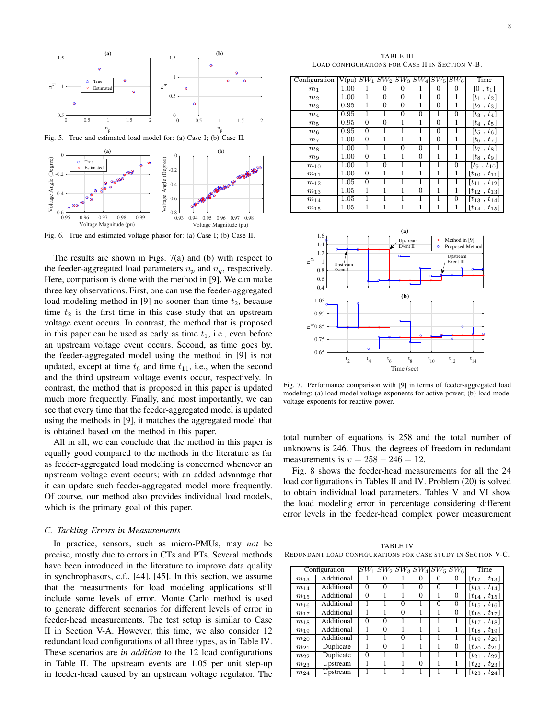

Fig. 6. True and estimated voltage phasor for: (a) Case I; (b) Case II.

The results are shown in Figs. 7(a) and (b) with respect to the feeder-aggregated load parameters  $n_p$  and  $n_q$ , respectively. Here, comparison is done with the method in [9]. We can make three key observations. First, one can use the feeder-aggregated load modeling method in [9] no sooner than time  $t_2$ , because time  $t_2$  is the first time in this case study that an upstream voltage event occurs. In contrast, the method that is proposed in this paper can be used as early as time  $t_1$ , i.e., even before an upstream voltage event occurs. Second, as time goes by, the feeder-aggregated model using the method in [9] is not updated, except at time  $t_6$  and time  $t_{11}$ , i.e., when the second and the third upstream voltage events occur, respectively. In contrast, the method that is proposed in this paper is updated much more frequently. Finally, and most importantly, we can see that every time that the feeder-aggregated model is updated using the methods in [9], it matches the aggregated model that is obtained based on the method in this paper.

All in all, we can conclude that the method in this paper is equally good compared to the methods in the literature as far as feeder-aggregated load modeling is concerned whenever an upstream voltage event occurs; with an added advantage that it can update such feeder-aggregated model more frequently. Of course, our method also provides individual load models, which is the primary goal of this paper.

## *C. Tackling Errors in Measurements*

In practice, sensors, such as micro-PMUs, may *not* be precise, mostly due to errors in CTs and PTs. Several methods have been introduced in the literature to improve data quality in synchrophasors, c.f., [44], [45]. In this section, we assume that the measurments for load modeling applications still include some levels of error. Monte Carlo method is used to generate different scenarios for different levels of error in feeder-head measurements. The test setup is similar to Case II in Section V-A. However, this time, we also consider 12 redundant load configurations of all three types, as in Table IV. These scenarios are *in addition* to the 12 load configurations in Table II. The upstream events are 1.05 per unit step-up in feeder-head caused by an upstream voltage regulator. The

TABLE III LOAD CONFIGURATIONS FOR CASE II IN SECTION V-B.

| Configuration  | $ V(\text{pu}) SW_1 SW_2 SW_3 SW_4 SW_5 SW_6 $ |          |          |          |          |          |                | Time               |
|----------------|------------------------------------------------|----------|----------|----------|----------|----------|----------------|--------------------|
| m <sub>1</sub> | 1.00                                           |          | $\theta$ | $\theta$ | 1        | $\Omega$ | $\Omega$       | $[0, t_1]$         |
| m <sub>2</sub> | 1.00                                           |          | $\theta$ | $\theta$ | 1        | $\theta$ | 1              | $[t_1, t_2]$       |
| m <sub>3</sub> | 0.95                                           |          | $\theta$ | $\theta$ | 1        | $\Omega$ | 1              | $[t_2, t_3]$       |
| m <sub>4</sub> | 0.95                                           | 1        | 1        | $\theta$ | $\Omega$ | 1        | $\overline{0}$ | $[t_3, t_4]$       |
| m <sub>5</sub> | 0.95                                           | $\theta$ | $\theta$ | 1        | 1        | $\Omega$ | 1              | $[t_4, t_5]$       |
| m <sub>6</sub> | 0.95                                           | $\theta$ | 1        | 1        | 1        | $\Omega$ | 1              | $[t_5, t_6]$       |
| m <sub>7</sub> | 1.00                                           | $\theta$ | 1        |          | 1        | $\Omega$ | 1              | $[t_6, t_7]$       |
| m <sub>8</sub> | 1.00                                           | 1        | 1        | $\theta$ | $\Omega$ | 1        | 1              | $[t_7, t_8]$       |
| m <sub>9</sub> | 1.00                                           | $\theta$ | 1        | 1        | $\Omega$ |          | 1              | $[t_8, t_9]$       |
| $m_{10}$       | 1.00                                           | 1        | $\theta$ |          | 1        | 1        | $\overline{0}$ | $[t_9, t_{10}]$    |
| $m_{11}$       | 1.00                                           | $\theta$ | 1        |          | 1        |          | 1              | $[t_{10}, t_{11}]$ |
| $m_{12}$       | 1.05                                           | $\theta$ | 1        |          | 1        | 1        | 1              | $[t_{11}, t_{12}]$ |
| $m_{13}$       | 1.05                                           |          | 1        | 1        | $\Omega$ | 1        | 1              | $[t_{12}, t_{13}]$ |
| $m_{14}$       | 1.05                                           |          | 1        |          | 1        |          | $\overline{0}$ | $[t_{13}, t_{14}]$ |
| $m_{15}$       | 1.05                                           |          |          |          |          |          |                | $[t_{14}, t_{15}]$ |



Fig. 7. Performance comparison with [9] in terms of feeder-aggregated load modeling: (a) load model voltage exponents for active power; (b) load model voltage exponents for reactive power.

total number of equations is 258 and the total number of unknowns is 246. Thus, the degrees of freedom in redundant measurements is  $v = 258 - 246 = 12$ .

Fig. 8 shows the feeder-head measurements for all the 24 load configurations in Tables II and IV. Problem (20) is solved to obtain individual load parameters. Tables V and VI show the load modeling error in percentage considering different error levels in the feeder-head complex power measurement

TABLE IV REDUNDANT LOAD CONFIGURATIONS FOR CASE STUDY IN SECTION V-C.

|          | Configuration |          | $SW_1 SW_2 SW_3 SW_4 SW_5 SW_6 $ |          |          |          |   | Time               |
|----------|---------------|----------|----------------------------------|----------|----------|----------|---|--------------------|
| $m_{13}$ | Additional    |          | 0                                |          | 0        | 0        | 0 | $[t_{12}, t_{13}]$ |
| $m_{14}$ | Additional    | $\Omega$ | $\theta$                         |          | $\theta$ | $\theta$ |   | $[t_{13}, t_{14}]$ |
| $m_{15}$ | Additional    | $\Omega$ |                                  |          | 0        |          | 0 | $[t_{14}, t_{15}]$ |
| $m_{16}$ | Additional    |          |                                  | $\Omega$ |          | $\Omega$ | 0 | $[t_{15}, t_{16}]$ |
| $m_{17}$ | Additional    |          |                                  | $\Omega$ |          |          | 0 | $[t_{16}, t_{17}]$ |
| $m_{18}$ | Additional    | $\Omega$ | 0                                |          |          |          |   | $[t_{17}, t_{18}]$ |
| $m_{19}$ | Additional    |          | 0                                |          |          |          |   | $[t_{18}, t_{19}]$ |
| $m_{20}$ | Additional    |          |                                  | $\Omega$ |          |          | 1 | $[t_{19}, t_{20}]$ |
| $m_{21}$ | Duplicate     |          | 0                                |          |          |          | 0 | $[t_{20}, t_{21}]$ |
| $m_{22}$ | Duplicate     | $\Omega$ |                                  |          |          |          |   | $[t_{21}, t_{22}]$ |
| $m_{23}$ | Upstream      |          |                                  |          | 0        |          |   | $[t_{22}, t_{23}]$ |
| $m_{24}$ | Upstream      |          |                                  |          |          |          |   | $[t_{23}, t_{24}]$ |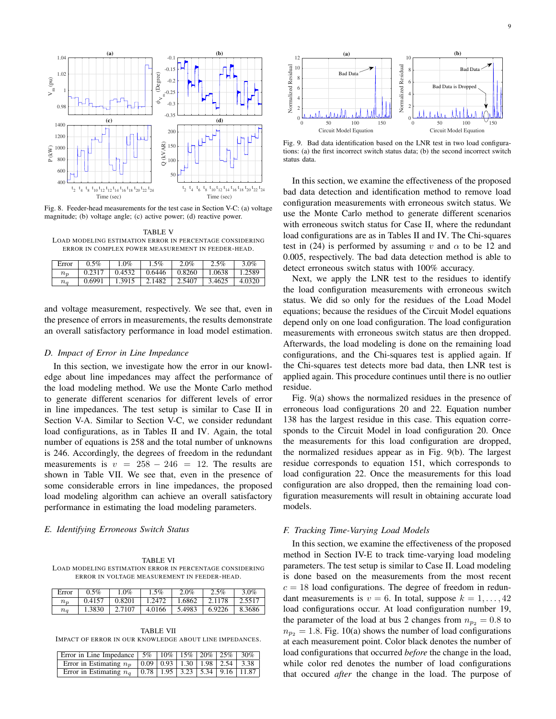

Fig. 8. Feeder-head measurements for the test case in Section V-C: (a) voltage magnitude; (b) voltage angle; (c) active power; (d) reactive power.

TABLE V LOAD MODELING ESTIMATION ERROR IN PERCENTAGE CONSIDERING ERROR IN COMPLEX POWER MEASUREMENT IN FEEDER-HEAD.

| Error   | $0.5\%$ | 1.0%   | 1.5%   | 2.0%   | 2.5%   | 3.0%   |
|---------|---------|--------|--------|--------|--------|--------|
| $n_{p}$ | 0.2317  | 0.4532 | 0.6446 | 0.8260 | 1.0638 | .2589  |
| $n_{q}$ | 0.6991  | 1.3915 | 2.1482 | 2.5407 | 3.4625 | 4.0320 |

and voltage measurement, respectively. We see that, even in the presence of errors in measurements, the results demonstrate an overall satisfactory performance in load model estimation.

#### *D. Impact of Error in Line Impedance*

In this section, we investigate how the error in our knowledge about line impedances may affect the performance of the load modeling method. We use the Monte Carlo method to generate different scenarios for different levels of error in line impedances. The test setup is similar to Case II in Section V-A. Similar to Section V-C, we consider redundant load configurations, as in Tables II and IV. Again, the total number of equations is 258 and the total number of unknowns is 246. Accordingly, the degrees of freedom in the redundant measurements is  $v = 258 - 246 = 12$ . The results are shown in Table VII. We see that, even in the presence of some considerable errors in line impedances, the proposed load modeling algorithm can achieve an overall satisfactory performance in estimating the load modeling parameters.

## *E. Identifying Erroneous Switch Status*

TABLE VI LOAD MODELING ESTIMATION ERROR IN PERCENTAGE CONSIDERING ERROR IN VOLTAGE MEASUREMENT IN FEEDER-HEAD.

| Error   | 0.5%   | 1.0%   | 1.5%   | 2.0%   | 2.5%   | 3.0%   |
|---------|--------|--------|--------|--------|--------|--------|
| $n_{n}$ | 0.4157 | 0.8201 | 1.2472 | 1.6862 | 2.1178 | 2.5517 |
| $n_q$   | 1.3830 | 2.7107 | 4.0166 | 5.4983 | 6.9226 | 8.3686 |

TABLE VII IMPACT OF ERROR IN OUR KNOWLEDGE ABOUT LINE IMPEDANCES.

| Error in Line Impedance $\frac{5\%}{10\%}$ 10% $\frac{15\%}{20\%}$ 20% $\frac{25\%}{30\%}$ |  |  |  |
|--------------------------------------------------------------------------------------------|--|--|--|
| Error in Estimating $n_p$   0.09   0.93   1.30   1.98   2.54   3.38                        |  |  |  |
| Error in Estimating $n_q$   0.78   1.95   3.23   5.34   9.16   11.87                       |  |  |  |



Fig. 9. Bad data identification based on the LNR test in two load configurations: (a) the first incorrect switch status data; (b) the second incorrect switch status data.

In this section, we examine the effectiveness of the proposed bad data detection and identification method to remove load configuration measurements with erroneous switch status. We use the Monte Carlo method to generate different scenarios with erroneous switch status for Case II, where the redundant load configurations are as in Tables II and IV. The Chi-squares test in (24) is performed by assuming v and  $\alpha$  to be 12 and 0.005, respectively. The bad data detection method is able to detect erroneous switch status with 100% accuracy.

Next, we apply the LNR test to the residues to identify the load configuration measurements with erroneous switch status. We did so only for the residues of the Load Model equations; because the residues of the Circuit Model equations depend only on one load configuration. The load configuration measurements with erroneous switch status are then dropped. Afterwards, the load modeling is done on the remaining load configurations, and the Chi-squares test is applied again. If the Chi-squares test detects more bad data, then LNR test is applied again. This procedure continues until there is no outlier residue.

Fig. 9(a) shows the normalized residues in the presence of erroneous load configurations 20 and 22. Equation number 138 has the largest residue in this case. This equation corresponds to the Circuit Model in load configuration 20. Once the measurements for this load configuration are dropped, the normalized residues appear as in Fig. 9(b). The largest residue corresponds to equation 151, which corresponds to load configuration 22. Once the measurements for this load configuration are also dropped, then the remaining load configuration measurements will result in obtaining accurate load models.

# *F. Tracking Time-Varying Load Models*

In this section, we examine the effectiveness of the proposed method in Section IV-E to track time-varying load modeling parameters. The test setup is similar to Case II. Load modeling is done based on the measurements from the most recent  $c = 18$  load configurations. The degree of freedom in redundant measurements is  $v = 6$ . In total, suppose  $k = 1, \ldots, 42$ load configurations occur. At load configuration number 19, the parameter of the load at bus 2 changes from  $n_{p_2} = 0.8$  to  $n_{p_2} = 1.8$ . Fig. 10(a) shows the number of load configurations at each measurement point. Color black denotes the number of load configurations that occurred *before* the change in the load, while color red denotes the number of load configurations that occured *after* the change in the load. The purpose of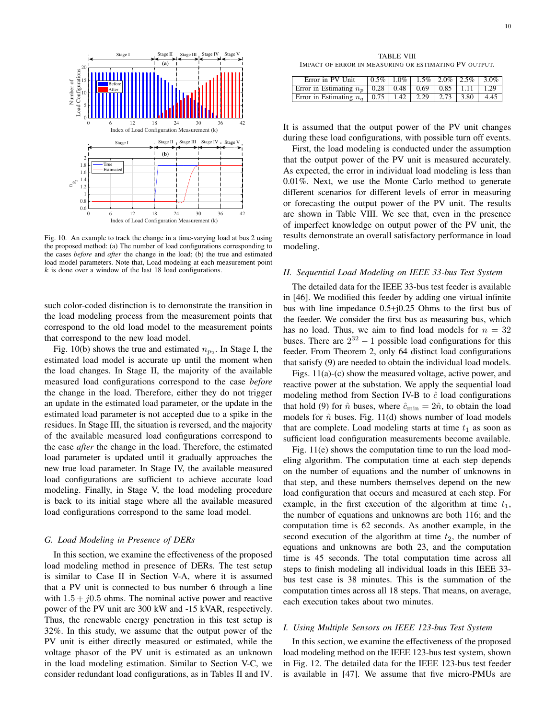

Fig. 10. An example to track the change in a time-varying load at bus 2 using the proposed method: (a) The number of load configurations corresponding to the cases *before* and *after* the change in the load; (b) the true and estimated load model parameters. Note that, Load modeling at each measurement point  $k$  is done over a window of the last 18 load configurations.

such color-coded distinction is to demonstrate the transition in the load modeling process from the measurement points that correspond to the old load model to the measurement points that correspond to the new load model.

Fig. 10(b) shows the true and estimated  $n_{p_2}$ . In Stage I, the estimated load model is accurate up until the moment when the load changes. In Stage II, the majority of the available measured load configurations correspond to the case *before* the change in the load. Therefore, either they do not trigger an update in the estimated load parameter, or the update in the estimated load parameter is not accepted due to a spike in the residues. In Stage III, the situation is reversed, and the majority of the available measured load configurations correspond to the case *after* the change in the load. Therefore, the estimated load parameter is updated until it gradually approaches the new true load parameter. In Stage IV, the available measured load configurations are sufficient to achieve accurate load modeling. Finally, in Stage V, the load modeling procedure is back to its initial stage where all the available measured load configurations correspond to the same load model.

# *G. Load Modeling in Presence of DERs*

In this section, we examine the effectiveness of the proposed load modeling method in presence of DERs. The test setup is similar to Case II in Section V-A, where it is assumed that a PV unit is connected to bus number 6 through a line with  $1.5 + j0.5$  ohms. The nominal active power and reactive power of the PV unit are 300 kW and -15 kVAR, respectively. Thus, the renewable energy penetration in this test setup is 32%. In this study, we assume that the output power of the PV unit is either directly measured or estimated, while the voltage phasor of the PV unit is estimated as an unknown in the load modeling estimation. Similar to Section V-C, we consider redundant load configurations, as in Tables II and IV.

TABLE VIII IMPACT OF ERROR IN MEASURING OR ESTIMATING PV OUTPUT.

| Error in PV Unit                                                    |  |  | $\mid 0.5\% \mid 1.0\% \mid 1.5\% \mid 2.0\% \mid 2.5\% \mid 3.0\% \mid$ |
|---------------------------------------------------------------------|--|--|--------------------------------------------------------------------------|
| Error in Estimating $n_p$   0.28   0.48   0.69   0.85   1.11   1.29 |  |  |                                                                          |
| Error in Estimating $n_q$   0.75   1.42   2.29   2.73   3.80   4.45 |  |  |                                                                          |

It is assumed that the output power of the PV unit changes during these load configurations, with possible turn off events.

First, the load modeling is conducted under the assumption that the output power of the PV unit is measured accurately. As expected, the error in individual load modeling is less than 0.01%. Next, we use the Monte Carlo method to generate different scenarios for different levels of error in measuring or forecasting the output power of the PV unit. The results are shown in Table VIII. We see that, even in the presence of imperfect knowledge on output power of the PV unit, the results demonstrate an overall satisfactory performance in load modeling.

## *H. Sequential Load Modeling on IEEE 33-bus Test System*

The detailed data for the IEEE 33-bus test feeder is available in [46]. We modified this feeder by adding one virtual infinite bus with line impedance 0.5+j0.25 Ohms to the first bus of the feeder. We consider the first bus as measuring bus, which has no load. Thus, we aim to find load models for  $n = 32$ buses. There are  $2^{32} - 1$  possible load configurations for this feeder. From Theorem 2, only 64 distinct load configurations that satisfy (9) are needed to obtain the individual load models.

Figs. 11(a)-(c) show the measured voltage, active power, and reactive power at the substation. We apply the sequential load modeling method from Section IV-B to  $\hat{c}$  load configurations that hold (9) for  $\hat{n}$  buses, where  $\hat{c}_{\min} = 2\hat{n}$ , to obtain the load models for  $\hat{n}$  buses. Fig. 11(d) shows number of load models that are complete. Load modeling starts at time  $t_1$  as soon as sufficient load configuration measurements become available.

Fig. 11(e) shows the computation time to run the load modeling algorithm. The computation time at each step depends on the number of equations and the number of unknowns in that step, and these numbers themselves depend on the new load configuration that occurs and measured at each step. For example, in the first execution of the algorithm at time  $t_1$ , the number of equations and unknowns are both 116; and the computation time is 62 seconds. As another example, in the second execution of the algorithm at time  $t_2$ , the number of equations and unknowns are both 23, and the computation time is 45 seconds. The total computation time across all steps to finish modeling all individual loads in this IEEE 33 bus test case is 38 minutes. This is the summation of the computation times across all 18 steps. That means, on average, each execution takes about two minutes.

# *I. Using Multiple Sensors on IEEE 123-bus Test System*

In this section, we examine the effectiveness of the proposed load modeling method on the IEEE 123-bus test system, shown in Fig. 12. The detailed data for the IEEE 123-bus test feeder is available in [47]. We assume that five micro-PMUs are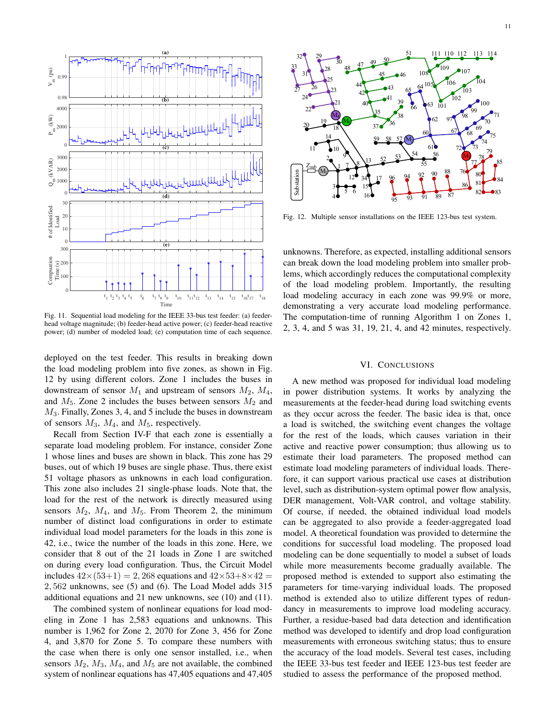

Fig. 11. Sequential load modeling for the IEEE 33-bus test feeder: (a) feederhead voltage magnitude; (b) feeder-head active power; (c) feeder-head reactive power; (d) number of modeled load; (e) computation time of each sequence.

deployed on the test feeder. This results in breaking down the load modeling problem into five zones, as shown in Fig. 12 by using different colors. Zone 1 includes the buses in downstream of sensor  $M_1$  and upstream of sensors  $M_2$ ,  $M_4$ , and  $M_5$ . Zone 2 includes the buses between sensors  $M_2$  and  $M_3$ . Finally, Zones 3, 4, and 5 include the buses in downstream of sensors  $M_3$ ,  $M_4$ , and  $M_5$ , respectively.

Recall from Section IV-F that each zone is essentially a separate load modeling problem. For instance, consider Zone 1 whose lines and buses are shown in black. This zone has 29 buses, out of which 19 buses are single phase. Thus, there exist 51 voltage phasors as unknowns in each load configuration. This zone also includes 21 single-phase loads. Note that, the load for the rest of the network is directly measured using sensors  $M_2$ ,  $M_4$ , and  $M_5$ . From Theorem 2, the minimum number of distinct load configurations in order to estimate individual load model parameters for the loads in this zone is 42, i.e., twice the number of the loads in this zone. Here, we consider that 8 out of the 21 loads in Zone 1 are switched on during every load configuration. Thus, the Circuit Model includes  $42\times(53+1) = 2,268$  equations and  $42\times53+8\times42 =$ 2, 562 unknowns, see (5) and (6). The Load Model adds 315 additional equations and 21 new unknowns, see (10) and (11).

The combined system of nonlinear equations for load modeling in Zone 1 has 2,583 equations and unknowns. This number is 1,962 for Zone 2, 2070 for Zone 3, 456 for Zone 4, and 3,870 for Zone 5. To compare these numbers with the case when there is only one sensor installed, i.e., when sensors  $M_2$ ,  $M_3$ ,  $M_4$ , and  $M_5$  are not available, the combined system of nonlinear equations has 47,405 equations and 47,405



Fig. 12. Multiple sensor installations on the IEEE 123-bus test system.

unknowns. Therefore, as expected, installing additional sensors can break down the load modeling problem into smaller problems, which accordingly reduces the computational complexity of the load modeling problem. Importantly, the resulting load modeling accuracy in each zone was 99.9% or more, demonstrating a very accurate load modeling performance. The computation-time of running Algorithm 1 on Zones 1, 2, 3, 4, and 5 was 31, 19, 21, 4, and 42 minutes, respectively.

# VI. CONCLUSIONS

A new method was proposed for individual load modeling in power distribution systems. It works by analyzing the measurements at the feeder-head during load switching events as they occur across the feeder. The basic idea is that, once a load is switched, the switching event changes the voltage for the rest of the loads, which causes variation in their active and reactive power consumption; thus allowing us to estimate their load parameters. The proposed method can estimate load modeling parameters of individual loads. Therefore, it can support various practical use cases at distribution level, such as distribution-system optimal power flow analysis, DER management, Volt-VAR control, and voltage stability. Of course, if needed, the obtained individual load models can be aggregated to also provide a feeder-aggregated load model. A theoretical foundation was provided to determine the conditions for successful load modeling. The proposed load modeling can be done sequentially to model a subset of loads while more measurements become gradually available. The proposed method is extended to support also estimating the parameters for time-varying individual loads. The proposed method is extended also to utilize different types of redundancy in measurements to improve load modeling accuracy. Further, a residue-based bad data detection and identification method was developed to identify and drop load configuration measurements with erroneous switching status; thus to ensure the accuracy of the load models. Several test cases, including the IEEE 33-bus test feeder and IEEE 123-bus test feeder are studied to assess the performance of the proposed method.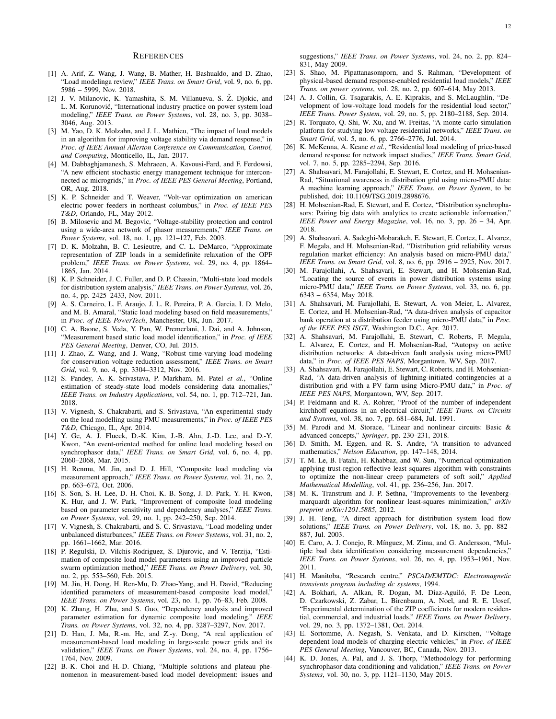#### **REFERENCES**

- [1] A. Arif, Z. Wang, J. Wang, B. Mather, H. Bashualdo, and D. Zhao, "Load modelinga review," *IEEE Trans. on Smart Grid*, vol. 9, no. 6, pp. 5986 – 5999, Nov. 2018.
- [2] J. V. Milanovic, K. Yamashita, S. M. Villanueva, S. Ž. Djokic, and L. M. Korunovic, "International industry practice on power system load ´ modeling," *IEEE Trans. on Power Systems*, vol. 28, no. 3, pp. 3038– 3046, Aug. 2013.
- [3] M. Yao, D. K. Molzahn, and J. L. Mathieu, "The impact of load models in an algorithm for improving voltage stability via demand response," in *Proc. of IEEE Annual Allerton Conference on Communication, Control, and Computing*, Monticello, IL, Jan. 2017.
- [4] M. Dabbaghjamanesh, S. Mehraeen, A. Kavousi-Fard, and F. Ferdowsi, "A new efficient stochastic energy management technique for interconnected ac microgrids," in *Proc. of IEEE PES General Meeting*, Portland, OR, Aug. 2018.
- [5] K. P. Schneider and T. Weaver, "Volt-var optimization on american electric power feeders in northeast columbus," in *Proc. of IEEE PES T&D*, Orlando, FL, May 2012.
- [6] B. Milosevic and M. Begovic, "Voltage-stability protection and control using a wide-area network of phasor measurements," *IEEE Trans. on Power Systems*, vol. 18, no. 1, pp. 121–127, Feb. 2003.
- [7] D. K. Molzahn, B. C. Lesieutre, and C. L. DeMarco, "Approximate representation of ZIP loads in a semidefinite relaxation of the OPF problem," *IEEE Trans. on Power Systems*, vol. 29, no. 4, pp. 1864– 1865, Jan. 2014.
- [8] K. P. Schneider, J. C. Fuller, and D. P. Chassin, "Multi-state load models for distribution system analysis," *IEEE Trans. on Power Systems*, vol. 26, no. 4, pp. 2425–2433, Nov. 2011.
- [9] A. S. Carneiro, L. F. Araujo, J. L. R. Pereira, P. A. Garcia, I. D. Melo, and M. B. Amaral, "Static load modeling based on field measurements," in *Proc. of IEEE PowerTech*, Manchester, UK, Jun. 2017.
- [10] C. A. Baone, S. Veda, Y. Pan, W. Premerlani, J. Dai, and A. Johnson, "Measurement based static load model identification," in *Proc. of IEEE PES General Meeting*, Denver, CO, Jul. 2015.
- [11] J. Zhao, Z. Wang, and J. Wang, "Robust time-varying load modeling for conservation voltage reduction assessment," *IEEE Trans. on Smart Grid*, vol. 9, no. 4, pp. 3304–3312, Nov. 2016.
- [12] S. Pandey, A. K. Srivastava, P. Markham, M. Patel *et al.*, "Online estimation of steady-state load models considering data anomalies," *IEEE Trans. on Industry Applications*, vol. 54, no. 1, pp. 712–721, Jan. 2018.
- [13] V. Vignesh, S. Chakrabarti, and S. Srivastava, "An experimental study on the load modelling using PMU measurements," in *Proc. of IEEE PES T&D*, Chicago, IL, Apr. 2014.
- [14] Y. Ge, A. J. Flueck, D.-K. Kim, J.-B. Ahn, J.-D. Lee, and D.-Y. Kwon, "An event-oriented method for online load modeling based on synchrophasor data," *IEEE Trans. on Smart Grid*, vol. 6, no. 4, pp. 2060–2068, Mar. 2015.
- [15] H. Renmu, M. Jin, and D. J. Hill, "Composite load modeling via measurement approach," *IEEE Trans. on Power Systems*, vol. 21, no. 2, pp. 663–672, Oct. 2006.
- [16] S. Son, S. H. Lee, D. H. Choi, K. B. Song, J. D. Park, Y. H. Kwon, K. Hur, and J. W. Park, "Improvement of composite load modeling based on parameter sensitivity and dependency analyses," *IEEE Trans. on Power Systems*, vol. 29, no. 1, pp. 242–250, Sep. 2014.
- [17] V. Vignesh, S. Chakrabarti, and S. C. Srivastava, "Load modeling under unbalanced disturbances," *IEEE Trans. on Power Systems*, vol. 31, no. 2, pp. 1661–1662, Mar. 2016.
- [18] P. Regulski, D. Vilchis-Rodriguez, S. Djurovic, and V. Terzija, "Estimation of composite load model parameters using an improved particle swarm optimization method," *IEEE Trans. on Power Delivery*, vol. 30, no. 2, pp. 553–560, Feb. 2015.
- [19] M. Jin, H. Dong, H. Ren-Mu, D. Zhao-Yang, and H. David, "Reducing identified parameters of measurement-based composite load model, *IEEE Trans. on Power Systems*, vol. 23, no. 1, pp. 76–83, Feb. 2008.
- [20] K. Zhang, H. Zhu, and S. Guo, "Dependency analysis and improved parameter estimation for dynamic composite load modeling," *IEEE Trans. on Power Systems*, vol. 32, no. 4, pp. 3287–3297, Nov. 2017.
- [21] D. Han, J. Ma, R.-m. He, and Z.-y. Dong, "A real application of measurement-based load modeling in large-scale power grids and its validation," *IEEE Trans. on Power Systems*, vol. 24, no. 4, pp. 1756– 1764, Nov. 2009.
- [22] B.-K. Choi and H.-D. Chiang, "Multiple solutions and plateau phenomenon in measurement-based load model development: issues and

suggestions," *IEEE Trans. on Power Systems*, vol. 24, no. 2, pp. 824– 831, May 2009.

- [23] S. Shao, M. Pipattanasomporn, and S. Rahman, "Development of physical-based demand response-enabled residential load models," *IEEE Trans. on power systems*, vol. 28, no. 2, pp. 607–614, May 2013.
- [24] A. J. Collin, G. Tsagarakis, A. E. Kiprakis, and S. McLaughlin, "Development of low-voltage load models for the residential load sector," *IEEE Trans. Power System*, vol. 29, no. 5, pp. 2180–2188, Sep. 2014.
- [25] R. Torquato, Q. Shi, W. Xu, and W. Freitas, "A monte carlo simulation platform for studying low voltage residential networks," *IEEE Trans. on Smart Grid*, vol. 5, no. 6, pp. 2766–2776, Jul. 2014.
- [26] K. McKenna, A. Keane et al., "Residential load modeling of price-based demand response for network impact studies," *IEEE Trans. Smart Grid*, vol. 7, no. 5, pp. 2285–2294, Sep. 2016.
- [27] A. Shahsavari, M. Farajollahi, E. Stewart, E. Cortez, and H. Mohsenian-Rad, "Situational awareness in distribution grid using micro-PMU data: A machine learning approach," *IEEE Trans. on Power System*, to be published, doi: 10.1109/TSG.2019.2898676.
- [28] H. Mohsenian-Rad, E. Stewart, and E. Cortez, "Distribution synchrophasors: Pairing big data with analytics to create actionable information," *IEEE Power and Energy Magazine*, vol. 16, no. 3, pp. 26 – 34, Apr. 2018.
- [29] A. Shahsavari, A. Sadeghi-Mobarakeh, E. Stewart, E. Cortez, L. Alvarez, F. Megala, and H. Mohsenian-Rad, "Distribution grid reliability versus regulation market efficiency: An analysis based on micro-PMU data," *IEEE Trans. on Smart Grid*, vol. 8, no. 6, pp. 2916 – 2925, Nov. 2017.
- [30] M. Farajollahi, A. Shahsavari, E. Stewart, and H. Mohsenian-Rad, "Locating the source of events in power distribution systems using micro-PMU data," *IEEE Trans. on Power Systems*, vol. 33, no. 6, pp. 6343 – 6354, May 2018.
- [31] A. Shahsavari, M. Farajollahi, E. Stewart, A. von Meier, L. Alvarez, E. Cortez, and H. Mohsenian-Rad, "A data-driven analysis of capacitor bank operation at a distribution feeder using micro-PMU data," in *Proc. of the IEEE PES ISGT*, Washington D.C., Apr. 2017.
- [32] A. Shahsavari, M. Farajollahi, E. Stewart, C. Roberts, F. Megala, L. Alvarez, E. Cortez, and H. Mohsenian-Rad, "Autopsy on active distribution networks: A data-driven fault analysis using micro-PMU data," in *Proc. of IEEE PES NAPS*, Morgantown, WV, Sep. 2017.
- [33] A. Shahsavari, M. Farajollahi, E. Stewart, C. Roberts, and H. Mohsenian-Rad, "A data-driven analysis of lightning-initiated contingencies at a distribution grid with a PV farm using Micro-PMU data," in *Proc. of IEEE PES NAPS*, Morgantown, WV, Sep. 2017.
- [34] P. Feldmann and R. A. Rohrer, "Proof of the number of independent kirchhoff equations in an electrical circuit," *IEEE Trans. on Circuits and Systems*, vol. 38, no. 7, pp. 681–684, Jul. 1991.
- [35] M. Parodi and M. Storace, "Linear and nonlinear circuits: Basic & advanced concepts," *Springer*, pp. 230–231, 2018.
- [36] D. Smith, M. Eggen, and R. S. Andre, "A transition to advanced mathematics," *Nelson Education*, pp. 147–148, 2014.
- [37] T. M. Le, B. Fatahi, H. Khabbaz, and W. Sun, "Numerical optimization applying trust-region reflective least squares algorithm with constraints to optimize the non-linear creep parameters of soft soil," *Applied Mathematical Modelling*, vol. 41, pp. 236–256, Jan. 2017.
- [38] M. K. Transtrum and J. P. Sethna, "Improvements to the levenbergmarquardt algorithm for nonlinear least-squares minimization," *arXiv preprint arXiv:1201.5885*, 2012.
- [39] J. H. Teng, "A direct approach for distribution system load flow solutions," *IEEE Trans. on Power Delivery*, vol. 18, no. 3, pp. 882– 887, Jul. 2003.
- [40] E. Caro, A. J. Conejo, R. Mínguez, M. Zima, and G. Andersson, "Multiple bad data identification considering measurement dependencies," *IEEE Trans. on Power Systems*, vol. 26, no. 4, pp. 1953–1961, Nov. 2011.
- [41] H. Manitoba, "Research centre," *PSCAD/EMTDC: Electromagnetic transients program including dc systems*, 1994.
- [42] A. Bokhari, A. Alkan, R. Dogan, M. Diaz-Aguiló, F. De Leon, D. Czarkowski, Z. Zabar, L. Birenbaum, A. Noel, and R. E. Uosef, "Experimental determination of the ZIP coefficients for modern residential, commercial, and industrial loads," *IEEE Trans. on Power Delivery*, vol. 29, no. 3, pp. 1372–1381, Oct. 2014.
- [43] E. Sortomme, A. Negash, S. Venkata, and D. Kirschen, "Voltage dependent load models of charging electric vehicles," in *Proc. of IEEE PES General Meeting*, Vancouver, BC, Canada, Nov. 2013.
- [44] K. D. Jones, A. Pal, and J. S. Thorp, "Methodology for performing synchrophasor data conditioning and validation," *IEEE Trans. on Power Systems*, vol. 30, no. 3, pp. 1121–1130, May 2015.